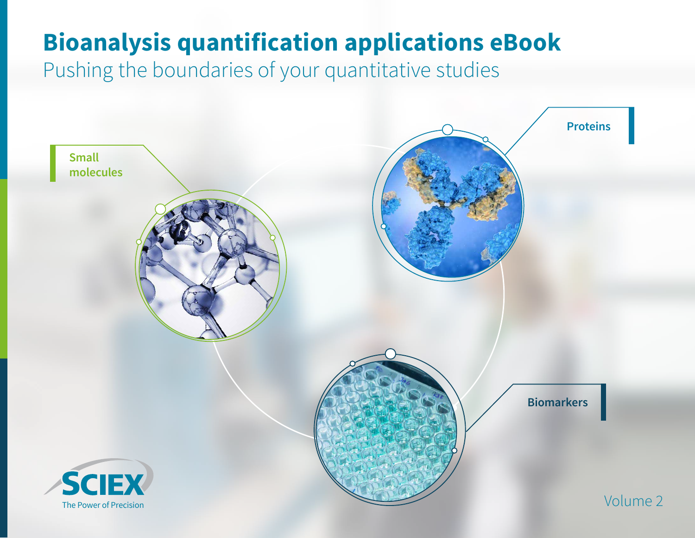## **Bioanalysis quantification applications eBook**

Pushing the boundaries of your quantitative studies

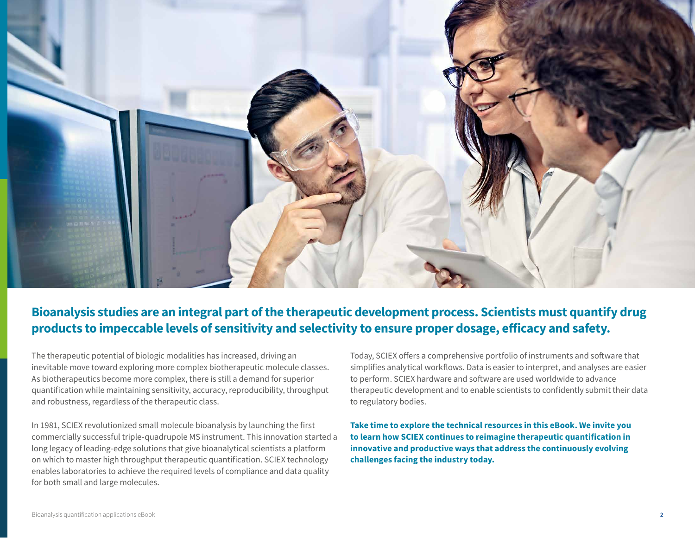

#### **Bioanalysis studies are an integral part of the therapeutic development process. Scientists must quantify drug products to impeccable levels of sensitivity and selectivity to ensure proper dosage, efficacy and safety.**

The therapeutic potential of biologic modalities has increased, driving an inevitable move toward exploring more complex biotherapeutic molecule classes. As biotherapeutics become more complex, there is still a demand for superior quantification while maintaining sensitivity, accuracy, reproducibility, throughput and robustness, regardless of the therapeutic class.

In 1981, SCIEX revolutionized small molecule bioanalysis by launching the first commercially successful triple-quadrupole MS instrument. This innovation started a long legacy of leading-edge solutions that give bioanalytical scientists a platform on which to master high throughput therapeutic quantification. SCIEX technology enables laboratories to achieve the required levels of compliance and data quality for both small and large molecules.

Today, SCIEX offers a comprehensive portfolio of instruments and software that simplifies analytical workflows. Data is easier to interpret, and analyses are easier to perform. SCIEX hardware and software are used worldwide to advance therapeutic development and to enable scientists to confidently submit their data to regulatory bodies.

**Take time to explore the technical resources in this eBook. We invite you to learn how SCIEX continues to reimagine therapeutic quantification in innovative and productive ways that address the continuously evolving challenges facing the industry today.**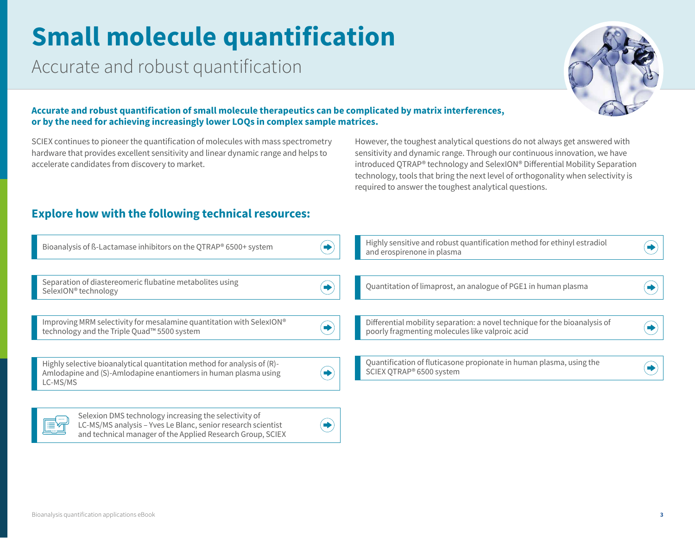# **Small molecule quantification**

Accurate and robust quantification



#### **Accurate and robust quantification of small molecule therapeutics can be complicated by matrix interferences, or by the need for achieving increasingly lower LOQs in complex sample matrices.**

SCIEX continues to pioneer the quantification of molecules with mass spectrometry hardware that provides excellent sensitivity and linear dynamic range and helps to accelerate candidates from discovery to market.

However, the toughest analytical questions do not always get answered with sensitivity and dynamic range. Through our continuous innovation, we have introduced QTRAP® technology and SelexION® Differential Mobility Separation technology, tools that bring the next level of orthogonality when selectivity is required to answer the toughest analytical questions.

#### **Explore how with the following technical resources:**

LC-MS/MS analysis – Yves Le Blanc, senior research scientist [and technical manager of the Applied Research Group, SCIEX](https://sciex.com/videos/Selexion-dms-technology-increasing-the-selectivity-of-lc-msms-analysis)

| Bioanalysis of ß-Lactamase inhibitors on the QTRAP® 6500+ system                                                                                       | Highly sensitive and robust quantification method for ethinyl estradiol<br>and erospirenone in plasma                         |  |
|--------------------------------------------------------------------------------------------------------------------------------------------------------|-------------------------------------------------------------------------------------------------------------------------------|--|
|                                                                                                                                                        |                                                                                                                               |  |
| Separation of diastereomeric flubatine metabolites using<br>SelexION <sup>®</sup> technology                                                           | Quantitation of limaprost, an analogue of PGE1 in human plasma                                                                |  |
|                                                                                                                                                        |                                                                                                                               |  |
| Improving MRM selectivity for mesalamine quantitation with SelexION®<br>technology and the Triple Quad <sup>™</sup> 5500 system                        | Differential mobility separation: a novel technique for the bioanalysis of<br>poorly fragmenting molecules like valproic acid |  |
|                                                                                                                                                        |                                                                                                                               |  |
| Highly selective bioanalytical quantitation method for analysis of (R)-<br>Amlodapine and (S)-Amlodapine enantiomers in human plasma using<br>LC-MS/MS | Quantification of fluticasone propionate in human plasma, using the<br>SCIEX QTRAP® 6500 system                               |  |
|                                                                                                                                                        |                                                                                                                               |  |
| Selexion DMS technology increasing the selectivity of                                                                                                  |                                                                                                                               |  |

◆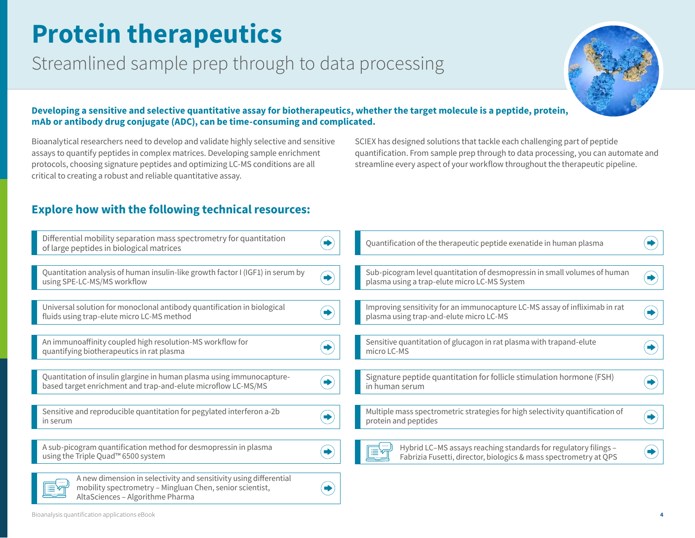## **Protein therapeutics**

### Streamlined sample prep through to data processing



#### **Developing a sensitive and selective quantitative assay for biotherapeutics, whether the target molecule is a peptide, protein, mAb or antibody drug conjugate (ADC), can be time-consuming and complicated.**

Bioanalytical researchers need to develop and validate highly selective and sensitive assays to quantify peptides in complex matrices. Developing sample enrichment protocols, choosing signature peptides and optimizing LC-MS conditions are all critical to creating a robust and reliable quantitative assay.

SCIEX has designed solutions that tackle each challenging part of peptide quantification. From sample prep through to data processing, you can automate and streamline every aspect of your workflow throughout the therapeutic pipeline.

#### **Explore how with the following technical resources:**

| Differential mobility separation mass spectrometry for quantitation<br>of large peptides in biological matrices                                                   | Quantification of the therapeutic peptide exenatide in human plasma                                                                 |  |
|-------------------------------------------------------------------------------------------------------------------------------------------------------------------|-------------------------------------------------------------------------------------------------------------------------------------|--|
| Quantitation analysis of human insulin-like growth factor I (IGF1) in serum by<br>using SPE-LC-MS/MS workflow                                                     | Sub-picogram level quantitation of desmopressin in small volumes of human<br>plasma using a trap-elute micro LC-MS System           |  |
| Universal solution for monoclonal antibody quantification in biological<br>fluids using trap-elute micro LC-MS method                                             | Improving sensitivity for an immunocapture LC-MS assay of infliximab in rat<br>plasma using trap-and-elute micro LC-MS              |  |
| An immunoaffinity coupled high resolution-MS workflow for<br>quantifying biotherapeutics in rat plasma                                                            | Sensitive quantitation of glucagon in rat plasma with trapand-elute<br>micro LC-MS                                                  |  |
| Quantitation of insulin glargine in human plasma using immunocapture-<br>based target enrichment and trap-and-elute microflow LC-MS/MS                            | Signature peptide quantitation for follicle stimulation hormone (FSH)<br>in human serum                                             |  |
| Sensitive and reproducible quantitation for pegylated interferon a-2b<br>in serum                                                                                 | Multiple mass spectrometric strategies for high selectivity quantification of<br>protein and peptides                               |  |
| A sub-picogram quantification method for desmopressin in plasma<br>using the Triple Quad <sup>™</sup> 6500 system                                                 | Hybrid LC-MS assays reaching standards for regulatory filings -<br>Fabrizia Fusetti, director, biologics & mass spectrometry at QPS |  |
| A new dimension in selectivity and sensitivity using differential<br>mobility spectrometry - Mingluan Chen, senior scientist,<br>AltaSciences - Algorithme Pharma |                                                                                                                                     |  |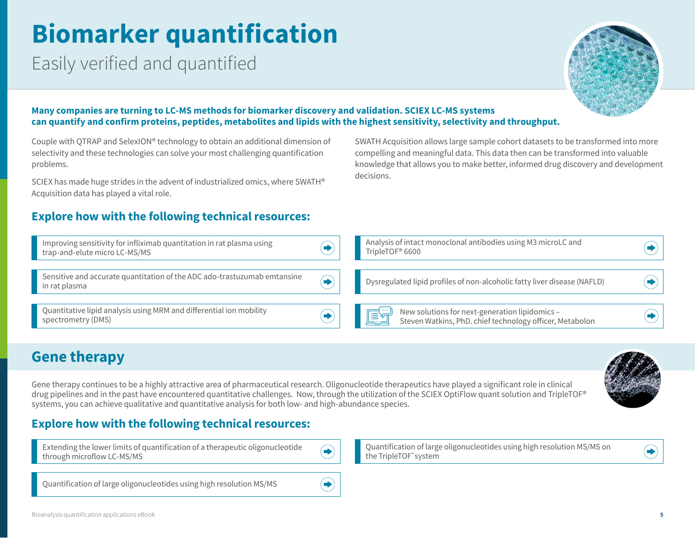# **Biomarker quantification**

Easily verified and quantified



#### **Many companies are turning to LC-MS methods for biomarker discovery and validation. SCIEX LC-MS systems can quantify and confirm proteins, peptides, metabolites and lipids with the highest sensitivity, selectivity and throughput.**

Couple with QTRAP and SelexION® technology to obtain an additional dimension of selectivity and these technologies can solve your most challenging quantification problems.

SCIEX has made huge strides in the advent of industrialized omics, where SWATH® Acquisition data has played a vital role.

#### **Explore how with the following technical resources:**

SWATH Acquisition allows large sample cohort datasets to be transformed into more compelling and meaningful data. This data then can be transformed into valuable knowledge that allows you to make better, informed drug discovery and development decisions.

| Improving sensitivity for infliximab quantitation in rat plasma using<br>trap-and-elute micro LC-MS/MS |  | Analysis of intact monoclonal antibodies using M3 microLC and<br>TripleTOF® 6600                                 |  |
|--------------------------------------------------------------------------------------------------------|--|------------------------------------------------------------------------------------------------------------------|--|
| Sensitive and accurate quantitation of the ADC ado-trastuzumab emtansine<br>in rat plasma              |  | Dysregulated lipid profiles of non-alcoholic fatty liver disease (NAFLD)                                         |  |
| Quantitative lipid analysis using MRM and differential ion mobility<br>spectrometry (DMS)              |  | New solutions for next-generation lipidomics –<br>Steven Watkins, PhD. chief technology officer, Metabolon<br>ET |  |

### **Gene therapy**

Gene therapy continues to be a highly attractive area of pharmaceutical research. Oligonucleotide therapeutics have played a significant role in clinical drug pipelines and in the past have encountered quantitative challenges. Now, through the utilization of the SCIEX OptiFlow quant solution and TripleTOF® systems, you can achieve qualitative and quantitative analysis for both low- and high-abundance species.



#### **Explore how with the following technical resources:**

[Extending the lower limits of quantification of a therapeutic oligonucleotide](https://sciex.com/content/dam/SCIEX/pdf/tech-notes/all/Extending-Lower-Limits-of-Quantification-Therapeutic-Oligonucleotide.pdf)  through microflow LC-MS/MS



 $\blacktriangleright$ 

[Quantification of large oligonucleotides using high resolution MS/MS](https://sciex.com/content/dam/SCIEX/pdf/tech-notes/all/Oligonucleotide_Quant_Qual_MRMHR_workflow.pdf)



 $\blacktriangleright$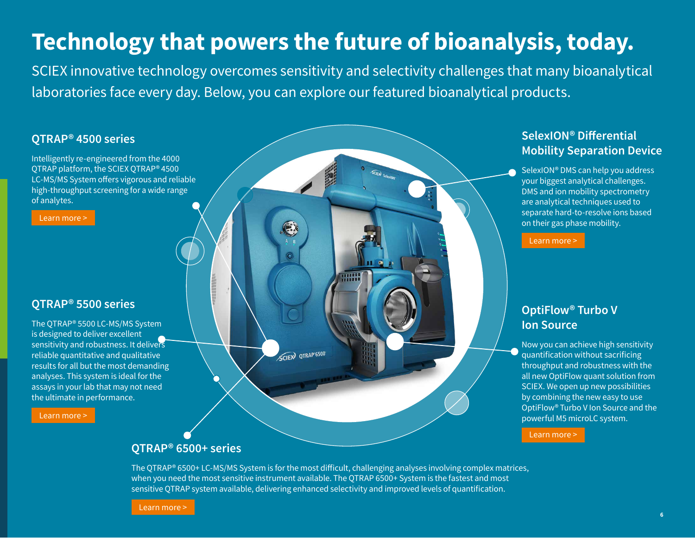### **Technology that powers the future of bioanalysis, today.**

SCIEX innovative technology overcomes sensitivity and selectivity challenges that many bioanalytical laboratories face every day. Below, you can explore our featured bioanalytical products.

**BABB** 

#### **QTRAP® 4500 series**

Intelligently re-engineered from the 4000 QTRAP platform, the SCIEX QTRAP® 4500 LC-MS/MS System offers vigorous and reliable high-throughput screening for a wide range of analytes.

[Learn more >](https://sciex.com/products/mass-spectrometers/qtrap-systems/qtrap-4500-system)

#### **QTRAP® 5500 series**

The QTRAP® 5500 LC-MS/MS System is designed to deliver excellent sensitivity and robustness. It delivers reliable quantitative and qualitative results for all but the most demanding analyses. This system is ideal for the assays in your lab that may not need the ultimate in performance.

[Learn more >](https://sciex.com/products/mass-spectrometers/qtrap-systems/qtrap-5500-system)

#### **SelexION® Differential Mobility Separation Device**

SelexION® DMS can help you address your biggest analytical challenges. DMS and ion mobility spectrometry are analytical techniques used to separate hard-to-resolve ions based on their gas phase mobility.

[Learn more >](https://sciex.com/technology/selexion-technology)

#### **OptiFlow® Turbo V Ion Source**

Now you can achieve high sensitivity quantification without sacrificing throughput and robustness with the all new OptiFlow quant solution from SCIEX. We open up new possibilities by combining the new easy to use OptiFlow® Turbo V Ion Source and the powerful M5 microLC system.

[Learn more >](https://sciex.com/products/integrated-solutions/optiflow-quant-solution)

#### **QTRAP® 6500+ series**

The QTRAP® 6500+ LC-MS/MS System is for the most difficult, challenging analyses involving complex matrices, when you need the most sensitive instrument available. The QTRAP 6500+ System is the fastest and most sensitive QTRAP system available, delivering enhanced selectivity and improved levels of quantification.

SCIEW QTRAP 6500

[Learn more >](https://sciex.com/products/mass-spectrometers/qtrap-systems/qtrap-6500plus-system)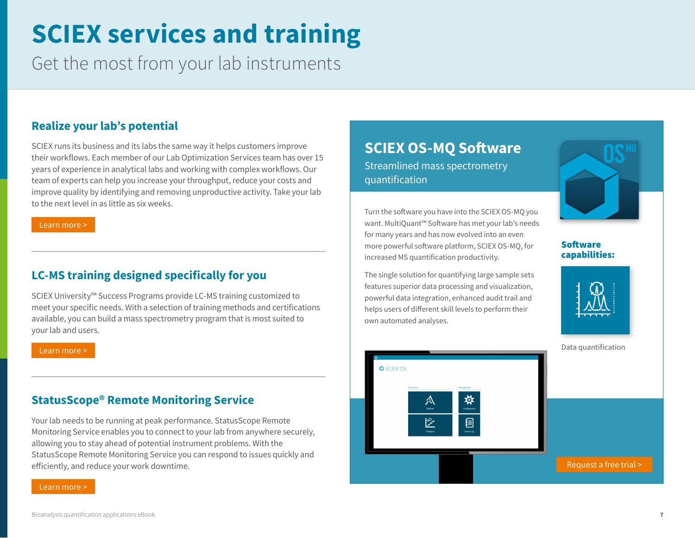## **SCIEX services and training**

Get the most from your lab instruments

#### **Realize your lab's potential**

SCIEX runs its business and its labs the same way it helps customers improve their workflows. Each member of our Lab Optimization Services team has over 15 years of experience in analytical labs and working with complex workflows. Our team of experts can help you increase your throughput, reduce your costs and improve quality by identifying and removing unproductive activity. Take your lab to the next level in as little as six weeks.

[Learn more >](https://sciex.com/support/professional-laboratory-services)

#### **LC-MS training designed specifically for you**

SCIEX University™ Success Programs provide LC-MS training customized to meet your specific needs. With a selection of training methods and certifications available, you can build a mass spectrometry program that is most suited to your lab and users.

[Learn more >](https://sciex.com/support/training/success-programs)

#### **StatusScope® Remote Monitoring Service**

Your lab needs to be running at peak performance. StatusScope Remote Monitoring Service enables you to connect to your lab from anywhere securely, allowing you to stay ahead of potential instrument problems. With the StatusScope Remote Monitoring Service you can respond to issues quickly and efficiently, and reduce your work downtime.

[Learn more >](https://sciex.com/instrument-service-and-support/statusscope-remote-monitoring)

#### **SCIEX OS-MQ Software**  Streamlined mass spectrometry quantification

Turn the software you have into the SCIEX OS-MQ you want. MultiQuant™ Software has met your lab's needs for many years and has now evolved into an even more powerful software platform, SCIEX OS-MQ, for increased MS quantification productivity.

The single solution for quantifying large sample sets features superior data processing and visualization, powerful data integration, enhanced audit trail and helps users of different skill levels to perform their own automated analyses.



#### Software capabilities: